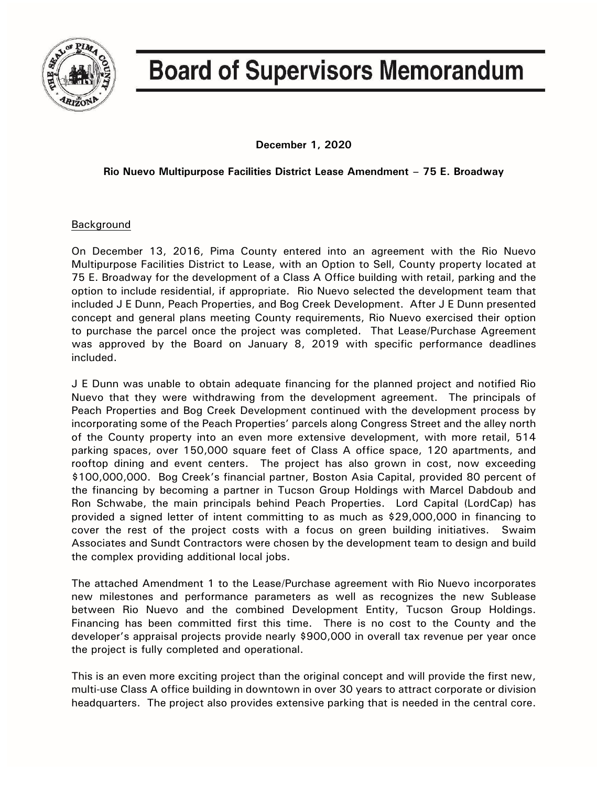

# **Board of Supervisors Memorandum**

**December 1, 2020**

## **Rio Nuevo Multipurpose Facilities District Lease Amendment – 75 E. Broadway**

### Background

On December 13, 2016, Pima County entered into an agreement with the Rio Nuevo Multipurpose Facilities District to Lease, with an Option to Sell, County property located at 75 E. Broadway for the development of a Class A Office building with retail, parking and the option to include residential, if appropriate. Rio Nuevo selected the development team that included J E Dunn, Peach Properties, and Bog Creek Development. After J E Dunn presented concept and general plans meeting County requirements, Rio Nuevo exercised their option to purchase the parcel once the project was completed. That Lease/Purchase Agreement was approved by the Board on January 8, 2019 with specific performance deadlines included.

J E Dunn was unable to obtain adequate financing for the planned project and notified Rio Nuevo that they were withdrawing from the development agreement. The principals of Peach Properties and Bog Creek Development continued with the development process by incorporating some of the Peach Properties' parcels along Congress Street and the alley north of the County property into an even more extensive development, with more retail, 514 parking spaces, over 150,000 square feet of Class A office space, 120 apartments, and rooftop dining and event centers. The project has also grown in cost, now exceeding \$100,000,000. Bog Creek's financial partner, Boston Asia Capital, provided 80 percent of the financing by becoming a partner in Tucson Group Holdings with Marcel Dabdoub and Ron Schwabe, the main principals behind Peach Properties. Lord Capital (LordCap) has provided a signed letter of intent committing to as much as \$29,000,000 in financing to cover the rest of the project costs with a focus on green building initiatives. Swaim Associates and Sundt Contractors were chosen by the development team to design and build the complex providing additional local jobs.

The attached Amendment 1 to the Lease/Purchase agreement with Rio Nuevo incorporates new milestones and performance parameters as well as recognizes the new Sublease between Rio Nuevo and the combined Development Entity, Tucson Group Holdings. Financing has been committed first this time. There is no cost to the County and the developer's appraisal projects provide nearly \$900,000 in overall tax revenue per year once the project is fully completed and operational.

This is an even more exciting project than the original concept and will provide the first new, multi-use Class A office building in downtown in over 30 years to attract corporate or division headquarters. The project also provides extensive parking that is needed in the central core.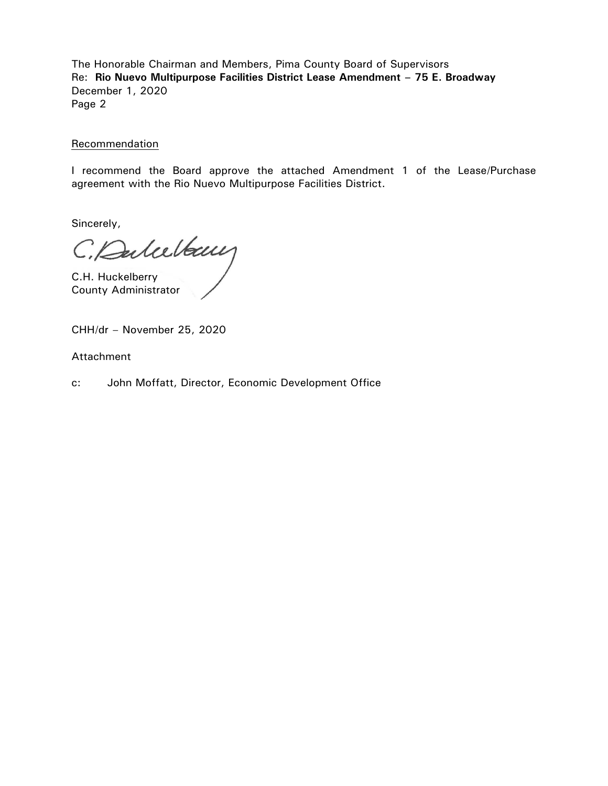The Honorable Chairman and Members, Pima County Board of Supervisors Re: **Rio Nuevo Multipurpose Facilities District Lease Amendment – 75 E. Broadway** December 1, 2020 Page 2

#### Recommendation

I recommend the Board approve the attached Amendment 1 of the Lease/Purchase agreement with the Rio Nuevo Multipurpose Facilities District.

Sincerely,

C. Dubelbauf

County Administrator

CHH/dr – November 25, 2020

Attachment

c: John Moffatt, Director, Economic Development Office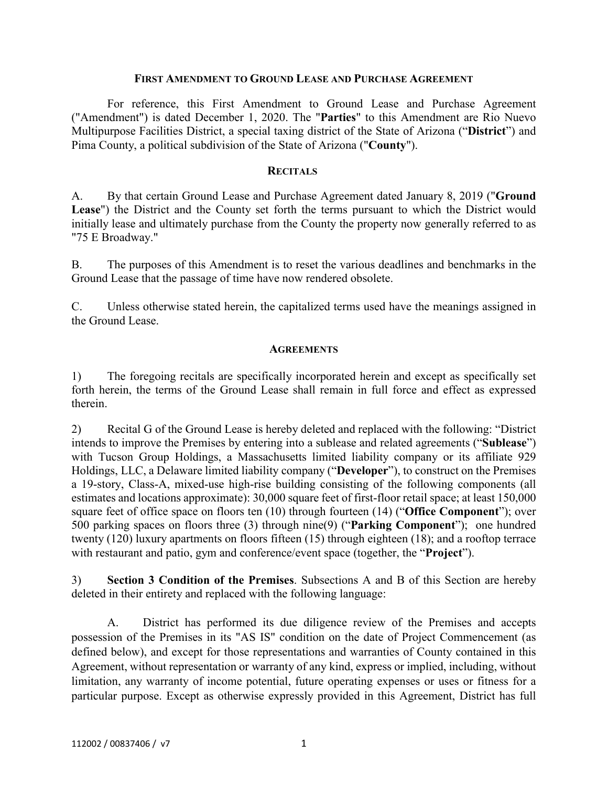#### **FIRST AMENDMENT TO GROUND LEASE AND PURCHASE AGREEMENT**

For reference, this First Amendment to Ground Lease and Purchase Agreement ("Amendment") is dated December 1, 2020. The "**Parties**" to this Amendment are Rio Nuevo Multipurpose Facilities District, a special taxing district of the State of Arizona ("**District**") and Pima County, a political subdivision of the State of Arizona ("**County**").

#### **RECITALS**

A. By that certain Ground Lease and Purchase Agreement dated January 8, 2019 ("**Ground Lease**") the District and the County set forth the terms pursuant to which the District would initially lease and ultimately purchase from the County the property now generally referred to as "75 E Broadway."

B. The purposes of this Amendment is to reset the various deadlines and benchmarks in the Ground Lease that the passage of time have now rendered obsolete.

C. Unless otherwise stated herein, the capitalized terms used have the meanings assigned in the Ground Lease.

#### **AGREEMENTS**

1) The foregoing recitals are specifically incorporated herein and except as specifically set forth herein, the terms of the Ground Lease shall remain in full force and effect as expressed therein.

2) Recital G of the Ground Lease is hereby deleted and replaced with the following: "District intends to improve the Premises by entering into a sublease and related agreements ("**Sublease**") with Tucson Group Holdings, a Massachusetts limited liability company or its affiliate 929 Holdings, LLC, a Delaware limited liability company ("**Developer**"), to construct on the Premises a 19-story, Class-A, mixed-use high-rise building consisting of the following components (all estimates and locations approximate): 30,000 square feet of first-floor retail space; at least 150,000 square feet of office space on floors ten (10) through fourteen (14) ("**Office Component**"); over 500 parking spaces on floors three (3) through nine(9) ("**Parking Component**"); one hundred twenty (120) luxury apartments on floors fifteen (15) through eighteen (18); and a rooftop terrace with restaurant and patio, gym and conference/event space (together, the "**Project**").

3) **Section 3 Condition of the Premises**. Subsections A and B of this Section are hereby deleted in their entirety and replaced with the following language:

A. District has performed its due diligence review of the Premises and accepts possession of the Premises in its "AS IS" condition on the date of Project Commencement (as defined below), and except for those representations and warranties of County contained in this Agreement, without representation or warranty of any kind, express or implied, including, without limitation, any warranty of income potential, future operating expenses or uses or fitness for a particular purpose. Except as otherwise expressly provided in this Agreement, District has full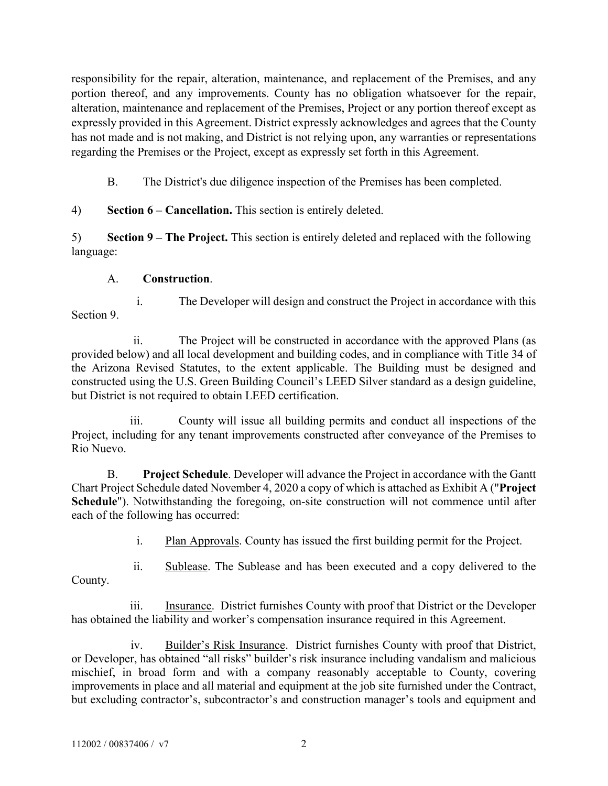responsibility for the repair, alteration, maintenance, and replacement of the Premises, and any portion thereof, and any improvements. County has no obligation whatsoever for the repair, alteration, maintenance and replacement of the Premises, Project or any portion thereof except as expressly provided in this Agreement. District expressly acknowledges and agrees that the County has not made and is not making, and District is not relying upon, any warranties or representations regarding the Premises or the Project, except as expressly set forth in this Agreement.

B. The District's due diligence inspection of the Premises has been completed.

4) **Section 6 – Cancellation.** This section is entirely deleted.

5) **Section 9 – The Project.** This section is entirely deleted and replaced with the following language:

# A. **Construction**.

i. The Developer will design and construct the Project in accordance with this Section 9.

ii. The Project will be constructed in accordance with the approved Plans (as provided below) and all local development and building codes, and in compliance with Title 34 of the Arizona Revised Statutes, to the extent applicable. The Building must be designed and constructed using the U.S. Green Building Council's LEED Silver standard as a design guideline, but District is not required to obtain LEED certification.

iii. County will issue all building permits and conduct all inspections of the Project, including for any tenant improvements constructed after conveyance of the Premises to Rio Nuevo.

B. **Project Schedule**. Developer will advance the Project in accordance with the Gantt Chart Project Schedule dated November 4, 2020 a copy of which is attached as Exhibit A ("**Project Schedule**"). Notwithstanding the foregoing, on-site construction will not commence until after each of the following has occurred:

i. Plan Approvals. County has issued the first building permit for the Project.

ii. Sublease. The Sublease and has been executed and a copy delivered to the County.

iii. Insurance. District furnishes County with proof that District or the Developer has obtained the liability and worker's compensation insurance required in this Agreement.

iv. Builder's Risk Insurance. District furnishes County with proof that District, or Developer, has obtained "all risks" builder's risk insurance including vandalism and malicious mischief, in broad form and with a company reasonably acceptable to County, covering improvements in place and all material and equipment at the job site furnished under the Contract, but excluding contractor's, subcontractor's and construction manager's tools and equipment and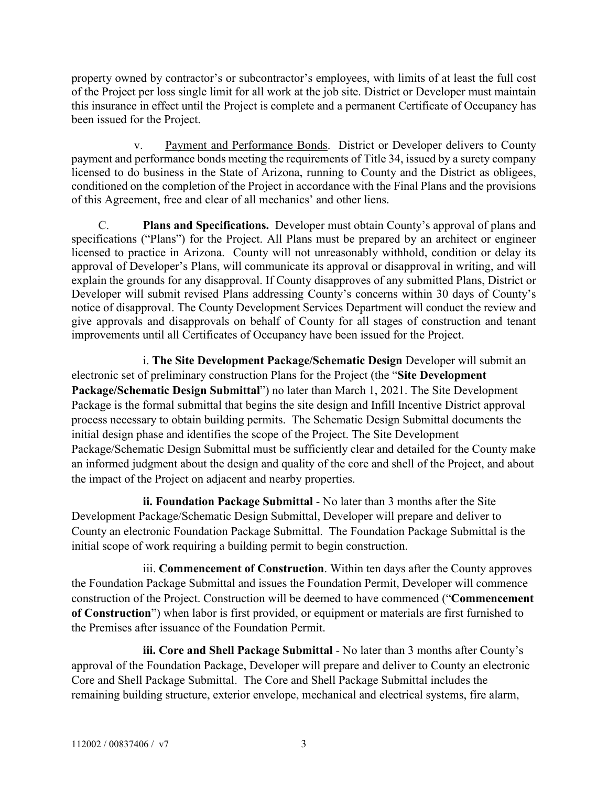property owned by contractor's or subcontractor's employees, with limits of at least the full cost of the Project per loss single limit for all work at the job site. District or Developer must maintain this insurance in effect until the Project is complete and a permanent Certificate of Occupancy has been issued for the Project.

v. Payment and Performance Bonds. District or Developer delivers to County payment and performance bonds meeting the requirements of Title 34, issued by a surety company licensed to do business in the State of Arizona, running to County and the District as obligees, conditioned on the completion of the Project in accordance with the Final Plans and the provisions of this Agreement, free and clear of all mechanics' and other liens.

C. **Plans and Specifications.** Developer must obtain County's approval of plans and specifications ("Plans") for the Project. All Plans must be prepared by an architect or engineer licensed to practice in Arizona. County will not unreasonably withhold, condition or delay its approval of Developer's Plans, will communicate its approval or disapproval in writing, and will explain the grounds for any disapproval. If County disapproves of any submitted Plans, District or Developer will submit revised Plans addressing County's concerns within 30 days of County's notice of disapproval. The County Development Services Department will conduct the review and give approvals and disapprovals on behalf of County for all stages of construction and tenant improvements until all Certificates of Occupancy have been issued for the Project.

i. **The Site Development Package/Schematic Design** Developer will submit an electronic set of preliminary construction Plans for the Project (the "**Site Development Package/Schematic Design Submittal**") no later than March 1, 2021. The Site Development Package is the formal submittal that begins the site design and Infill Incentive District approval process necessary to obtain building permits. The Schematic Design Submittal documents the initial design phase and identifies the scope of the Project. The Site Development Package/Schematic Design Submittal must be sufficiently clear and detailed for the County make an informed judgment about the design and quality of the core and shell of the Project, and about the impact of the Project on adjacent and nearby properties.

**ii. Foundation Package Submittal** - No later than 3 months after the Site Development Package/Schematic Design Submittal, Developer will prepare and deliver to County an electronic Foundation Package Submittal. The Foundation Package Submittal is the initial scope of work requiring a building permit to begin construction.

iii. **Commencement of Construction**. Within ten days after the County approves the Foundation Package Submittal and issues the Foundation Permit, Developer will commence construction of the Project. Construction will be deemed to have commenced ("**Commencement of Construction**") when labor is first provided, or equipment or materials are first furnished to the Premises after issuance of the Foundation Permit.

**iii. Core and Shell Package Submittal** - No later than 3 months after County's approval of the Foundation Package, Developer will prepare and deliver to County an electronic Core and Shell Package Submittal. The Core and Shell Package Submittal includes the remaining building structure, exterior envelope, mechanical and electrical systems, fire alarm,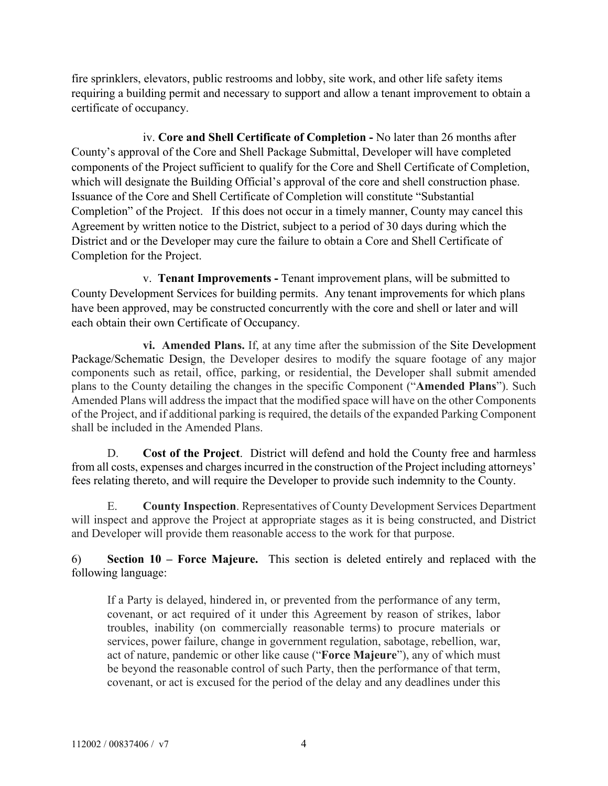fire sprinklers, elevators, public restrooms and lobby, site work, and other life safety items requiring a building permit and necessary to support and allow a tenant improvement to obtain a certificate of occupancy.

iv. **Core and Shell Certificate of Completion -** No later than 26 months after County's approval of the Core and Shell Package Submittal, Developer will have completed components of the Project sufficient to qualify for the Core and Shell Certificate of Completion, which will designate the Building Official's approval of the core and shell construction phase. Issuance of the Core and Shell Certificate of Completion will constitute "Substantial Completion" of the Project. If this does not occur in a timely manner, County may cancel this Agreement by written notice to the District, subject to a period of 30 days during which the District and or the Developer may cure the failure to obtain a Core and Shell Certificate of Completion for the Project.

v. **Tenant Improvements -** Tenant improvement plans, will be submitted to County Development Services for building permits. Any tenant improvements for which plans have been approved, may be constructed concurrently with the core and shell or later and will each obtain their own Certificate of Occupancy.

**vi. Amended Plans.** If, at any time after the submission of the Site Development Package/Schematic Design, the Developer desires to modify the square footage of any major components such as retail, office, parking, or residential, the Developer shall submit amended plans to the County detailing the changes in the specific Component ("**Amended Plans**"). Such Amended Plans will address the impact that the modified space will have on the other Components of the Project, and if additional parking is required, the details of the expanded Parking Component shall be included in the Amended Plans.

D. **Cost of the Project**. District will defend and hold the County free and harmless from all costs, expenses and charges incurred in the construction of the Project including attorneys' fees relating thereto, and will require the Developer to provide such indemnity to the County.

E. **County Inspection**. Representatives of County Development Services Department will inspect and approve the Project at appropriate stages as it is being constructed, and District and Developer will provide them reasonable access to the work for that purpose.

6) **Section 10 – Force Majeure.** This section is deleted entirely and replaced with the following language:

If a Party is delayed, hindered in, or prevented from the performance of any term, covenant, or act required of it under this Agreement by reason of strikes, labor troubles, inability (on commercially reasonable terms) to procure materials or services, power failure, change in government regulation, sabotage, rebellion, war, act of nature, pandemic or other like cause ("**Force Majeure**"), any of which must be beyond the reasonable control of such Party, then the performance of that term, covenant, or act is excused for the period of the delay and any deadlines under this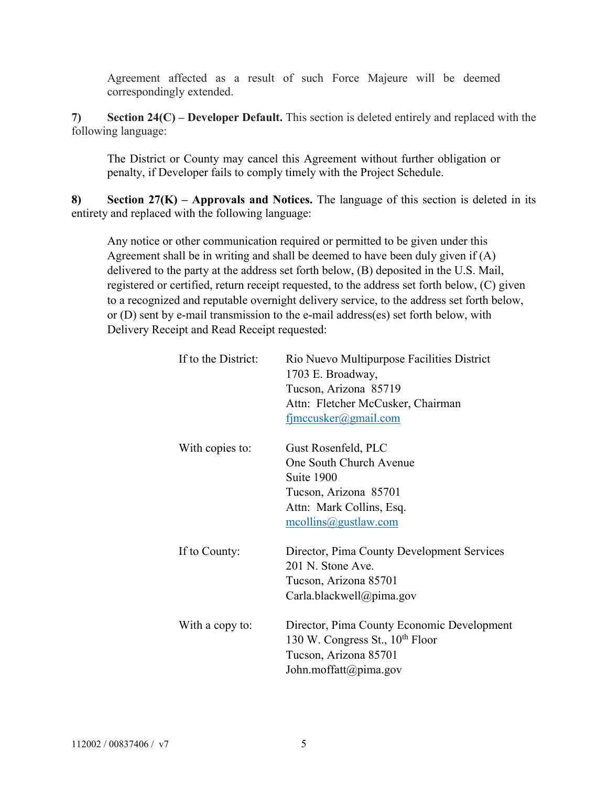Agreement affected as a result of such Force Majeure will be deemed correspondingly extended.

**7) Section 24(C) – Developer Default.** This section is deleted entirely and replaced with the following language:

The District or County may cancel this Agreement without further obligation or penalty, if Developer fails to comply timely with the Project Schedule.

**8) Section 27(K) – Approvals and Notices.** The language of this section is deleted in its entirety and replaced with the following language:

Any notice or other communication required or permitted to be given under this Agreement shall be in writing and shall be deemed to have been duly given if (A) delivered to the party at the address set forth below, (B) deposited in the U.S. Mail, registered or certified, return receipt requested, to the address set forth below, (C) given to a recognized and reputable overnight delivery service, to the address set forth below, or (D) sent by e-mail transmission to the e-mail address(es) set forth below, with Delivery Receipt and Read Receipt requested:

| If to the District: | Rio Nuevo Multipurpose Facilities District  |
|---------------------|---------------------------------------------|
|                     | 1703 E. Broadway,                           |
|                     | Tucson, Arizona 85719                       |
|                     | Attn: Fletcher McCusker, Chairman           |
|                     | fimccusker@gmail.com                        |
| With copies to:     | Gust Rosenfeld, PLC                         |
|                     | One South Church Avenue                     |
|                     | Suite 1900                                  |
|                     | Tucson, Arizona 85701                       |
|                     | Attn: Mark Collins, Esq.                    |
|                     | $\text{mcollins}(a)$ gustlaw.com            |
| If to County:       | Director, Pima County Development Services  |
|                     | 201 N. Stone Ave.                           |
|                     | Tucson, Arizona 85701                       |
|                     | Carla.blackwell@pima.gov                    |
| With a copy to:     | Director, Pima County Economic Development  |
|                     | 130 W. Congress St., 10 <sup>th</sup> Floor |
|                     | Tucson, Arizona 85701                       |
|                     | John.moffatt@pima.gov                       |
|                     |                                             |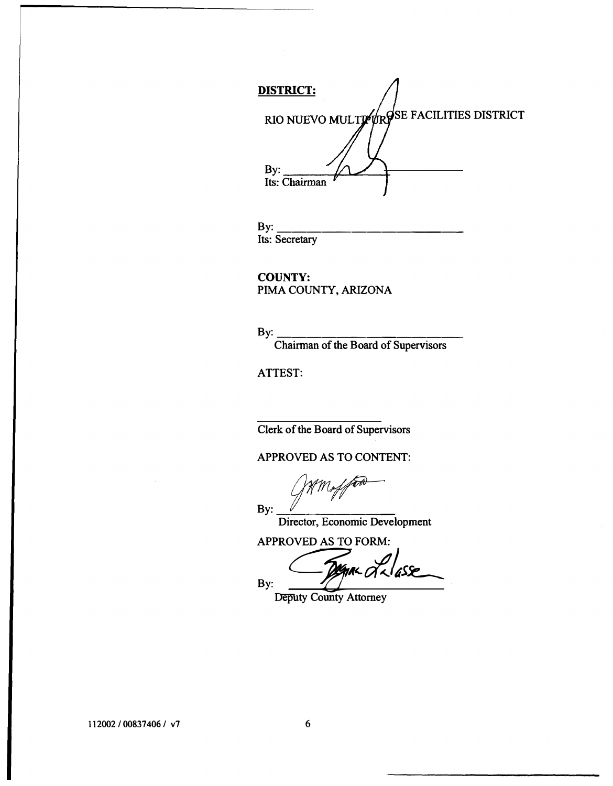**DISTRICT:**  RIO NUEVO MULTI<sup>6</sup>UR<sup>SE</sup> FACILITIES DISTRICT By: Its: Chairman

**By: \_\_\_\_\_\_\_\_\_\_\_\_\_\_\_\_\_\_\_\_\_\_\_\_\_\_\_\_ Its: Secretary** 

**COUNTY: PIMA COUNTY,ARIZONA** 

**By: \_\_\_\_\_\_\_\_\_\_\_\_ \_ Chairman of the Board of Supervisors** 

**ATTEST:** 

**Clerk of the Board of Supervisors** 

**APPROVED AS TO CONTENT:** 

By:  $\frac{V}{\sqrt{2\pi r}}$ 

**Director, Economic Development** 

**APPROVED AS TO FORM:** 

By: **Comme de lasse** 

**Deputy County Attorney**